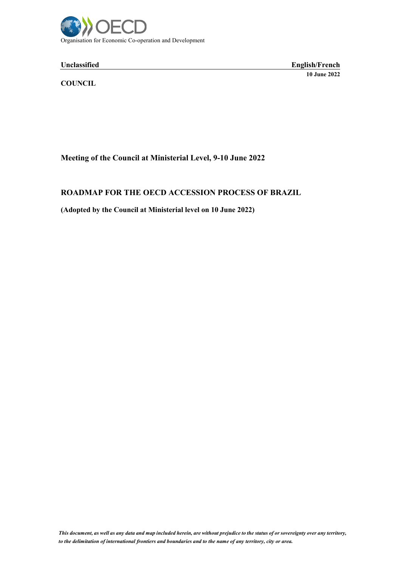

#### Unclassified

**Unclassified English/French 10 June 2022**

**COUNCIL**

# **Meeting of the Council at Ministerial Level, 9-10 June 2022**

# **ROADMAP FOR THE OECD ACCESSION PROCESS OF BRAZIL**

# **(Adopted by the Council at Ministerial level on 10 June 2022)**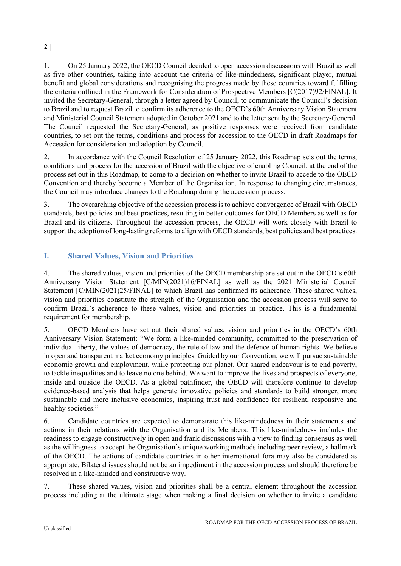**2** |

1. On 25 January 2022, the OECD Council decided to open accession discussions with Brazil as well as five other countries, taking into account the criteria of like-mindedness, significant player, mutual benefit and global considerations and recognising the progress made by these countries toward fulfilling the criteria outlined in the Framework for Consideration of Prospective Members [C(2017)92/FINAL]. It invited the Secretary-General, through a letter agreed by Council, to communicate the Council's decision to Brazil and to request Brazil to confirm its adherence to the OECD's 60th Anniversary Vision Statement and Ministerial Council Statement adopted in October 2021 and to the letter sent by the Secretary-General. The Council requested the Secretary-General, as positive responses were received from candidate countries, to set out the terms, conditions and process for accession to the OECD in draft Roadmaps for Accession for consideration and adoption by Council.

2. In accordance with the Council Resolution of 25 January 2022, this Roadmap sets out the terms, conditions and process for the accession of Brazil with the objective of enabling Council, at the end of the process set out in this Roadmap, to come to a decision on whether to invite Brazil to accede to the OECD Convention and thereby become a Member of the Organisation. In response to changing circumstances, the Council may introduce changes to the Roadmap during the accession process.

3. The overarching objective of the accession process is to achieve convergence of Brazil with OECD standards, best policies and best practices, resulting in better outcomes for OECD Members as well as for Brazil and its citizens. Throughout the accession process, the OECD will work closely with Brazil to support the adoption of long-lasting reforms to align with OECD standards, best policies and best practices.

# **I. Shared Values, Vision and Priorities**

4. The shared values, vision and priorities of the OECD membership are set out in the OECD's 60th Anniversary Vision Statement [C/MIN(2021)16/FINAL] as well as the 2021 Ministerial Council Statement [C/MIN(2021)25/FINAL] to which Brazil has confirmed its adherence. These shared values, vision and priorities constitute the strength of the Organisation and the accession process will serve to confirm Brazil's adherence to these values, vision and priorities in practice. This is a fundamental requirement for membership.

5. OECD Members have set out their shared values, vision and priorities in the OECD's 60th Anniversary Vision Statement: "We form a like-minded community, committed to the preservation of individual liberty, the values of democracy, the rule of law and the defence of human rights. We believe in open and transparent market economy principles. Guided by our Convention, we will pursue sustainable economic growth and employment, while protecting our planet. Our shared endeavour is to end poverty, to tackle inequalities and to leave no one behind. We want to improve the lives and prospects of everyone, inside and outside the OECD. As a global pathfinder, the OECD will therefore continue to develop evidence-based analysis that helps generate innovative policies and standards to build stronger, more sustainable and more inclusive economies, inspiring trust and confidence for resilient, responsive and healthy societies."

6. Candidate countries are expected to demonstrate this like-mindedness in their statements and actions in their relations with the Organisation and its Members. This like-mindedness includes the readiness to engage constructively in open and frank discussions with a view to finding consensus as well as the willingness to accept the Organisation's unique working methods including peer review, a hallmark of the OECD. The actions of candidate countries in other international fora may also be considered as appropriate. Bilateral issues should not be an impediment in the accession process and should therefore be resolved in a like-minded and constructive way.

7. These shared values, vision and priorities shall be a central element throughout the accession process including at the ultimate stage when making a final decision on whether to invite a candidate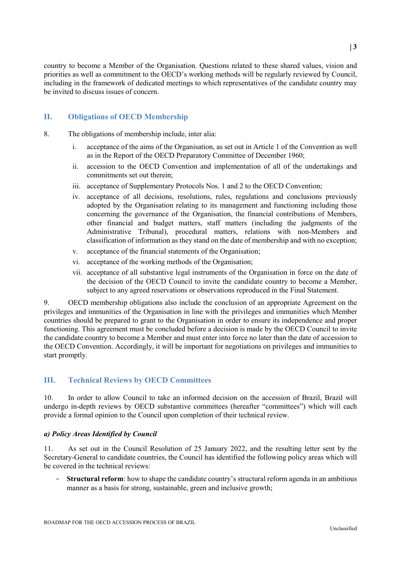country to become a Member of the Organisation. Questions related to these shared values, vision and priorities as well as commitment to the OECD's working methods will be regularly reviewed by Council, including in the framework of dedicated meetings to which representatives of the candidate country may be invited to discuss issues of concern.

# **II. Obligations of OECD Membership**

- 8. The obligations of membership include, inter alia:
	- i. acceptance of the aims of the Organisation, as set out in Article 1 of the Convention as well as in the Report of the OECD Preparatory Committee of December 1960;
	- ii. accession to the OECD Convention and implementation of all of the undertakings and commitments set out therein;
	- iii. acceptance of Supplementary Protocols Nos. 1 and 2 to the OECD Convention;
	- iv. acceptance of all decisions, resolutions, rules, regulations and conclusions previously adopted by the Organisation relating to its management and functioning including those concerning the governance of the Organisation, the financial contributions of Members, other financial and budget matters, staff matters (including the judgments of the Administrative Tribunal), procedural matters, relations with non-Members and classification of information as they stand on the date of membership and with no exception;
	- v. acceptance of the financial statements of the Organisation;
	- vi. acceptance of the working methods of the Organisation;
	- vii. acceptance of all substantive legal instruments of the Organisation in force on the date of the decision of the OECD Council to invite the candidate country to become a Member, subject to any agreed reservations or observations reproduced in the Final Statement.

9. OECD membership obligations also include the conclusion of an appropriate Agreement on the privileges and immunities of the Organisation in line with the privileges and immunities which Member countries should be prepared to grant to the Organisation in order to ensure its independence and proper functioning. This agreement must be concluded before a decision is made by the OECD Council to invite the candidate country to become a Member and must enter into force no later than the date of accession to the OECD Convention. Accordingly, it will be important for negotiations on privileges and immunities to start promptly.

# **III. Technical Reviews by OECD Committees**

10. In order to allow Council to take an informed decision on the accession of Brazil, Brazil will undergo in-depth reviews by OECD substantive committees (hereafter "committees") which will each provide a formal opinion to the Council upon completion of their technical review.

# *a) Policy Areas Identified by Council*

11. As set out in the Council Resolution of 25 January 2022, and the resulting letter sent by the Secretary-General to candidate countries, the Council has identified the following policy areas which will be covered in the technical reviews:

- **Structural reform**: how to shape the candidate country's structural reform agenda in an ambitious manner as a basis for strong, sustainable, green and inclusive growth;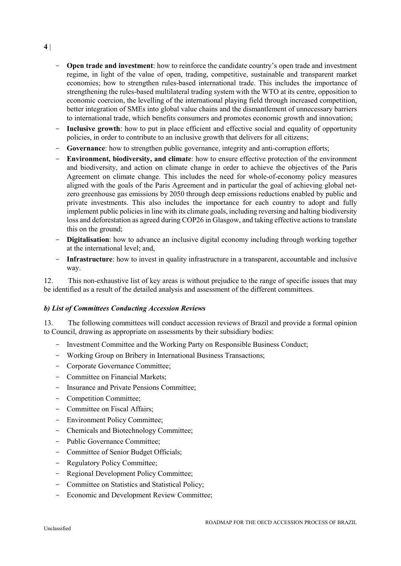- **Open trade and investment**: how to reinforce the candidate country's open trade and investment regime, in light of the value of open, trading, competitive, sustainable and transparent market economies; how to strengthen rules-based international trade. This includes the importance of strengthening the rules-based multilateral trading system with the WTO at its centre, opposition to economic coercion, the levelling of the international playing field through increased competition, better integration of SMEs into global value chains and the dismantlement of unnecessary barriers to international trade, which benefits consumers and promotes economic growth and innovation;
- Inclusive growth: how to put in place efficient and effective social and equality of opportunity policies, in order to contribute to an inclusive growth that delivers for all citizens;
- Governance: how to strengthen public governance, integrity and anti-corruption efforts;
- **Environment, biodiversity, and climate**: how to ensure effective protection of the environment and biodiversity, and action on climate change in order to achieve the objectives of the Paris Agreement on climate change. This includes the need for whole-of-economy policy measures aligned with the goals of the Paris Agreement and in particular the goal of achieving global netzero greenhouse gas emissions by 2050 through deep emissions reductions enabled by public and private investments. This also includes the importance for each country to adopt and fully implement public policies in line with its climate goals, including reversing and halting biodiversity loss and deforestation as agreed during COP26 in Glasgow, and taking effective actions to translate this on the ground;
- **Digitalisation**: how to advance an inclusive digital economy including through working together at the international level; and,
- **Infrastructure**: how to invest in quality infrastructure in a transparent, accountable and inclusive way.

12. This non-exhaustive list of key areas is without prejudice to the range of specific issues that may be identified as a result of the detailed analysis and assessment of the different committees.

#### *b) List of Committees Conducting Accession Reviews*

13. The following committees will conduct accession reviews of Brazil and provide a formal opinion to Council, drawing as appropriate on assessments by their subsidiary bodies:

- Investment Committee and the Working Party on Responsible Business Conduct;
- Working Group on Bribery in International Business Transactions;
- Corporate Governance Committee;
- Committee on Financial Markets;
- Insurance and Private Pensions Committee;
- Competition Committee:
- Committee on Fiscal Affairs;
- Environment Policy Committee;
- Chemicals and Biotechnology Committee;
- Public Governance Committee:
- Committee of Senior Budget Officials;
- Regulatory Policy Committee;
- Regional Development Policy Committee;
- Committee on Statistics and Statistical Policy;
- Economic and Development Review Committee;

**4** |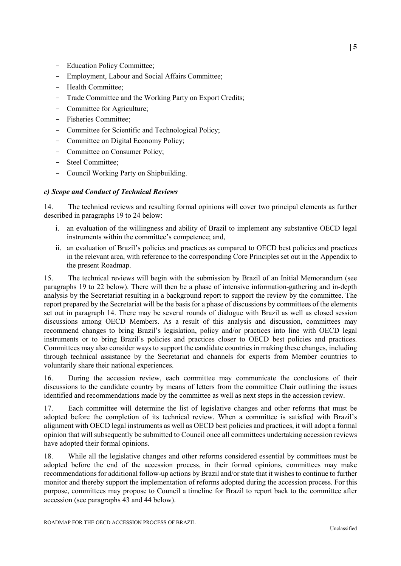- Education Policy Committee;
- Employment, Labour and Social Affairs Committee;
- Health Committee;
- Trade Committee and the Working Party on Export Credits;
- Committee for Agriculture;
- Fisheries Committee;
- Committee for Scientific and Technological Policy;
- Committee on Digital Economy Policy;
- Committee on Consumer Policy;
- Steel Committee;
- Council Working Party on Shipbuilding.

#### *c) Scope and Conduct of Technical Reviews*

14. The technical reviews and resulting formal opinions will cover two principal elements as further described in paragraphs 19 to 24 below:

- i. an evaluation of the willingness and ability of Brazil to implement any substantive OECD legal instruments within the committee's competence; and,
- ii. an evaluation of Brazil's policies and practices as compared to OECD best policies and practices in the relevant area, with reference to the corresponding Core Principles set out in the Appendix to the present Roadmap.

15. The technical reviews will begin with the submission by Brazil of an Initial Memorandum (see paragraphs 19 to 22 below). There will then be a phase of intensive information-gathering and in-depth analysis by the Secretariat resulting in a background report to support the review by the committee. The report prepared by the Secretariat will be the basis for a phase of discussions by committees of the elements set out in paragraph 14. There may be several rounds of dialogue with Brazil as well as closed session discussions among OECD Members. As a result of this analysis and discussion, committees may recommend changes to bring Brazil's legislation, policy and/or practices into line with OECD legal instruments or to bring Brazil's policies and practices closer to OECD best policies and practices. Committees may also consider ways to support the candidate countries in making these changes, including through technical assistance by the Secretariat and channels for experts from Member countries to voluntarily share their national experiences.

16. During the accession review, each committee may communicate the conclusions of their discussions to the candidate country by means of letters from the committee Chair outlining the issues identified and recommendations made by the committee as well as next steps in the accession review.

17. Each committee will determine the list of legislative changes and other reforms that must be adopted before the completion of its technical review. When a committee is satisfied with Brazil's alignment with OECD legal instruments as well as OECD best policies and practices, it will adopt a formal opinion that will subsequently be submitted to Council once all committees undertaking accession reviews have adopted their formal opinions.

18. While all the legislative changes and other reforms considered essential by committees must be adopted before the end of the accession process, in their formal opinions, committees may make recommendations for additional follow-up actions by Brazil and/or state that it wishes to continue to further monitor and thereby support the implementation of reforms adopted during the accession process. For this purpose, committees may propose to Council a timeline for Brazil to report back to the committee after accession (see paragraphs 43 and 44 below).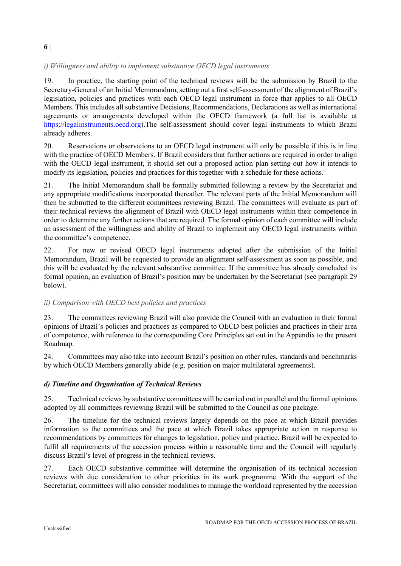# *i) Willingness and ability to implement substantive OECD legal instruments*

19. In practice, the starting point of the technical reviews will be the submission by Brazil to the Secretary-General of an Initial Memorandum, setting out a first self-assessment of the alignment of Brazil's legislation, policies and practices with each OECD legal instrument in force that applies to all OECD Members. This includes all substantive Decisions, Recommendations, Declarations as well as international agreements or arrangements developed within the OECD framework (a full list is available at [https://legalinstruments.oecd.org\)](https://legalinstruments.oecd.org/).The self-assessment should cover legal instruments to which Brazil already adheres.

20. Reservations or observations to an OECD legal instrument will only be possible if this is in line with the practice of OECD Members. If Brazil considers that further actions are required in order to align with the OECD legal instrument, it should set out a proposed action plan setting out how it intends to modify its legislation, policies and practices for this together with a schedule for these actions.

21. The Initial Memorandum shall be formally submitted following a review by the Secretariat and any appropriate modifications incorporated thereafter. The relevant parts of the Initial Memorandum will then be submitted to the different committees reviewing Brazil. The committees will evaluate as part of their technical reviews the alignment of Brazil with OECD legal instruments within their competence in order to determine any further actions that are required. The formal opinion of each committee will include an assessment of the willingness and ability of Brazil to implement any OECD legal instruments within the committee's competence.

22. For new or revised OECD legal instruments adopted after the submission of the Initial Memorandum, Brazil will be requested to provide an alignment self-assessment as soon as possible, and this will be evaluated by the relevant substantive committee. If the committee has already concluded its formal opinion, an evaluation of Brazil's position may be undertaken by the Secretariat (see paragraph 29 below).

# *ii) Comparison with OECD best policies and practices*

23. The committees reviewing Brazil will also provide the Council with an evaluation in their formal opinions of Brazil's policies and practices as compared to OECD best policies and practices in their area of competence, with reference to the corresponding Core Principles set out in the Appendix to the present Roadmap.

24. Committees may also take into account Brazil's position on other rules, standards and benchmarks by which OECD Members generally abide (e.g. position on major multilateral agreements).

# *d) Timeline and Organisation of Technical Reviews*

25. Technical reviews by substantive committees will be carried out in parallel and the formal opinions adopted by all committees reviewing Brazil will be submitted to the Council as one package.

26. The timeline for the technical reviews largely depends on the pace at which Brazil provides information to the committees and the pace at which Brazil takes appropriate action in response to recommendations by committees for changes to legislation, policy and practice. Brazil will be expected to fulfil all requirements of the accession process within a reasonable time and the Council will regularly discuss Brazil's level of progress in the technical reviews.

27. Each OECD substantive committee will determine the organisation of its technical accession reviews with due consideration to other priorities in its work programme. With the support of the Secretariat, committees will also consider modalities to manage the workload represented by the accession

#### ROADMAP FOR THE OECD ACCESSION PROCESS OF BRAZIL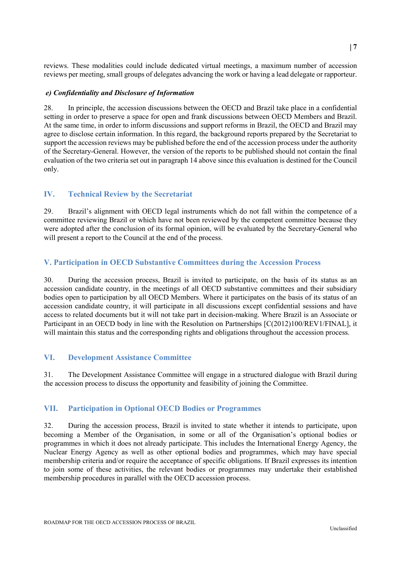reviews. These modalities could include dedicated virtual meetings, a maximum number of accession reviews per meeting, small groups of delegates advancing the work or having a lead delegate or rapporteur.

#### *e) Confidentiality and Disclosure of Information*

28. In principle, the accession discussions between the OECD and Brazil take place in a confidential setting in order to preserve a space for open and frank discussions between OECD Members and Brazil. At the same time, in order to inform discussions and support reforms in Brazil, the OECD and Brazil may agree to disclose certain information. In this regard, the background reports prepared by the Secretariat to support the accession reviews may be published before the end of the accession process under the authority of the Secretary-General. However, the version of the reports to be published should not contain the final evaluation of the two criteria set out in paragraph 14 above since this evaluation is destined for the Council only.

## **IV. Technical Review by the Secretariat**

29. Brazil's alignment with OECD legal instruments which do not fall within the competence of a committee reviewing Brazil or which have not been reviewed by the competent committee because they were adopted after the conclusion of its formal opinion, will be evaluated by the Secretary-General who will present a report to the Council at the end of the process.

## **V. Participation in OECD Substantive Committees during the Accession Process**

30. During the accession process, Brazil is invited to participate, on the basis of its status as an accession candidate country, in the meetings of all OECD substantive committees and their subsidiary bodies open to participation by all OECD Members. Where it participates on the basis of its status of an accession candidate country, it will participate in all discussions except confidential sessions and have access to related documents but it will not take part in decision-making. Where Brazil is an Associate or Participant in an OECD body in line with the Resolution on Partnerships [C(2012)100/REV1/FINAL], it will maintain this status and the corresponding rights and obligations throughout the accession process.

## **VI. Development Assistance Committee**

31. The Development Assistance Committee will engage in a structured dialogue with Brazil during the accession process to discuss the opportunity and feasibility of joining the Committee.

## **VII. Participation in Optional OECD Bodies or Programmes**

32. During the accession process, Brazil is invited to state whether it intends to participate, upon becoming a Member of the Organisation, in some or all of the Organisation's optional bodies or programmes in which it does not already participate. This includes the International Energy Agency, the Nuclear Energy Agency as well as other optional bodies and programmes, which may have special membership criteria and/or require the acceptance of specific obligations. If Brazil expresses its intention to join some of these activities, the relevant bodies or programmes may undertake their established membership procedures in parallel with the OECD accession process.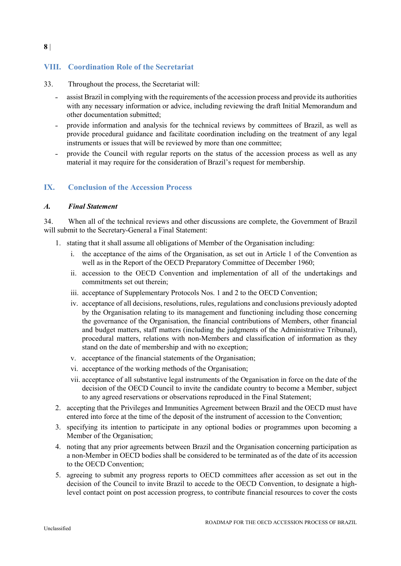# **VIII. Coordination Role of the Secretariat**

- 33. Throughout the process, the Secretariat will:
	- ˗ assist Brazil in complying with the requirements of the accession process and provide its authorities with any necessary information or advice, including reviewing the draft Initial Memorandum and other documentation submitted;
	- ˗ provide information and analysis for the technical reviews by committees of Brazil, as well as provide procedural guidance and facilitate coordination including on the treatment of any legal instruments or issues that will be reviewed by more than one committee;
	- ˗ provide the Council with regular reports on the status of the accession process as well as any material it may require for the consideration of Brazil's request for membership.

#### **IX. Conclusion of the Accession Process**

#### *A. Final Statement*

34. When all of the technical reviews and other discussions are complete, the Government of Brazil will submit to the Secretary-General a Final Statement:

- 1. stating that it shall assume all obligations of Member of the Organisation including:
	- i. the acceptance of the aims of the Organisation, as set out in Article 1 of the Convention as well as in the Report of the OECD Preparatory Committee of December 1960;
	- ii. accession to the OECD Convention and implementation of all of the undertakings and commitments set out therein;
	- iii. acceptance of Supplementary Protocols Nos. 1 and 2 to the OECD Convention;
	- iv. acceptance of all decisions, resolutions, rules, regulations and conclusions previously adopted by the Organisation relating to its management and functioning including those concerning the governance of the Organisation, the financial contributions of Members, other financial and budget matters, staff matters (including the judgments of the Administrative Tribunal), procedural matters, relations with non-Members and classification of information as they stand on the date of membership and with no exception;
	- v. acceptance of the financial statements of the Organisation;
	- vi. acceptance of the working methods of the Organisation;
	- vii. acceptance of all substantive legal instruments of the Organisation in force on the date of the decision of the OECD Council to invite the candidate country to become a Member, subject to any agreed reservations or observations reproduced in the Final Statement;
- 2. accepting that the Privileges and Immunities Agreement between Brazil and the OECD must have entered into force at the time of the deposit of the instrument of accession to the Convention;
- 3. specifying its intention to participate in any optional bodies or programmes upon becoming a Member of the Organisation;
- 4. noting that any prior agreements between Brazil and the Organisation concerning participation as a non-Member in OECD bodies shall be considered to be terminated as of the date of its accession to the OECD Convention;
- 5. agreeing to submit any progress reports to OECD committees after accession as set out in the decision of the Council to invite Brazil to accede to the OECD Convention, to designate a highlevel contact point on post accession progress, to contribute financial resources to cover the costs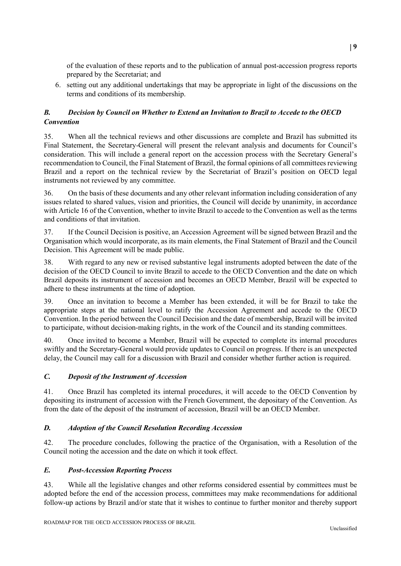of the evaluation of these reports and to the publication of annual post-accession progress reports prepared by the Secretariat; and

6. setting out any additional undertakings that may be appropriate in light of the discussions on the terms and conditions of its membership.

# *B. Decision by Council on Whether to Extend an Invitation to Brazil to Accede to the OECD Convention*

35. When all the technical reviews and other discussions are complete and Brazil has submitted its Final Statement, the Secretary-General will present the relevant analysis and documents for Council's consideration. This will include a general report on the accession process with the Secretary General's recommendation to Council, the Final Statement of Brazil, the formal opinions of all committees reviewing Brazil and a report on the technical review by the Secretariat of Brazil's position on OECD legal instruments not reviewed by any committee.

36. On the basis of these documents and any other relevant information including consideration of any issues related to shared values, vision and priorities, the Council will decide by unanimity, in accordance with Article 16 of the Convention, whether to invite Brazil to accede to the Convention as well as the terms and conditions of that invitation.

37. If the Council Decision is positive, an Accession Agreement will be signed between Brazil and the Organisation which would incorporate, as its main elements, the Final Statement of Brazil and the Council Decision. This Agreement will be made public.

38. With regard to any new or revised substantive legal instruments adopted between the date of the decision of the OECD Council to invite Brazil to accede to the OECD Convention and the date on which Brazil deposits its instrument of accession and becomes an OECD Member, Brazil will be expected to adhere to these instruments at the time of adoption.

39. Once an invitation to become a Member has been extended, it will be for Brazil to take the appropriate steps at the national level to ratify the Accession Agreement and accede to the OECD Convention. In the period between the Council Decision and the date of membership, Brazil will be invited to participate, without decision-making rights, in the work of the Council and its standing committees.

40. Once invited to become a Member, Brazil will be expected to complete its internal procedures swiftly and the Secretary-General would provide updates to Council on progress. If there is an unexpected delay, the Council may call for a discussion with Brazil and consider whether further action is required.

# *C. Deposit of the Instrument of Accession*

41. Once Brazil has completed its internal procedures, it will accede to the OECD Convention by depositing its instrument of accession with the French Government, the depositary of the Convention. As from the date of the deposit of the instrument of accession, Brazil will be an OECD Member.

#### *D. Adoption of the Council Resolution Recording Accession*

42. The procedure concludes, following the practice of the Organisation, with a Resolution of the Council noting the accession and the date on which it took effect.

#### *E. Post-Accession Reporting Process*

43. While all the legislative changes and other reforms considered essential by committees must be adopted before the end of the accession process, committees may make recommendations for additional follow-up actions by Brazil and/or state that it wishes to continue to further monitor and thereby support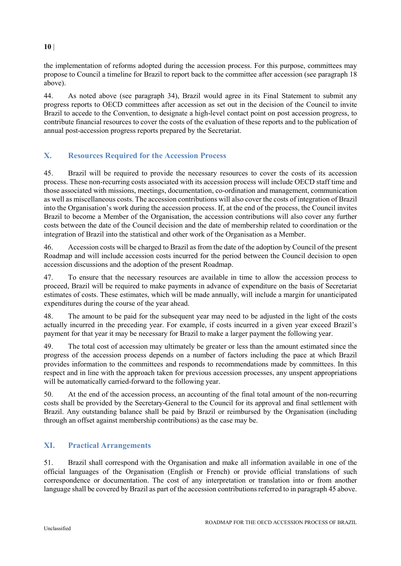# the implementation of reforms adopted during the accession process. For this purpose, committees may propose to Council a timeline for Brazil to report back to the committee after accession (see paragraph 18 above).

44. As noted above (see paragraph 34), Brazil would agree in its Final Statement to submit any progress reports to OECD committees after accession as set out in the decision of the Council to invite Brazil to accede to the Convention, to designate a high-level contact point on post accession progress, to contribute financial resources to cover the costs of the evaluation of these reports and to the publication of annual post-accession progress reports prepared by the Secretariat.

# **X. Resources Required for the Accession Process**

45. Brazil will be required to provide the necessary resources to cover the costs of its accession process. These non-recurring costs associated with its accession process will include OECD staff time and those associated with missions, meetings, documentation, co-ordination and management, communication as well as miscellaneous costs. The accession contributions will also cover the costs of integration of Brazil into the Organisation's work during the accession process. If, at the end of the process, the Council invites Brazil to become a Member of the Organisation, the accession contributions will also cover any further costs between the date of the Council decision and the date of membership related to coordination or the integration of Brazil into the statistical and other work of the Organisation as a Member.

46. Accession costs will be charged to Brazil as from the date of the adoption by Council of the present Roadmap and will include accession costs incurred for the period between the Council decision to open accession discussions and the adoption of the present Roadmap.

47. To ensure that the necessary resources are available in time to allow the accession process to proceed, Brazil will be required to make payments in advance of expenditure on the basis of Secretariat estimates of costs. These estimates, which will be made annually, will include a margin for unanticipated expenditures during the course of the year ahead.

48. The amount to be paid for the subsequent year may need to be adjusted in the light of the costs actually incurred in the preceding year. For example, if costs incurred in a given year exceed Brazil's payment for that year it may be necessary for Brazil to make a larger payment the following year.

49. The total cost of accession may ultimately be greater or less than the amount estimated since the progress of the accession process depends on a number of factors including the pace at which Brazil provides information to the committees and responds to recommendations made by committees. In this respect and in line with the approach taken for previous accession processes, any unspent appropriations will be automatically carried-forward to the following year.

50. At the end of the accession process, an accounting of the final total amount of the non-recurring costs shall be provided by the Secretary-General to the Council for its approval and final settlement with Brazil. Any outstanding balance shall be paid by Brazil or reimbursed by the Organisation (including through an offset against membership contributions) as the case may be.

# **XI. Practical Arrangements**

51. Brazil shall correspond with the Organisation and make all information available in one of the official languages of the Organisation (English or French) or provide official translations of such correspondence or documentation. The cost of any interpretation or translation into or from another language shall be covered by Brazil as part of the accession contributions referred to in paragraph 45 above.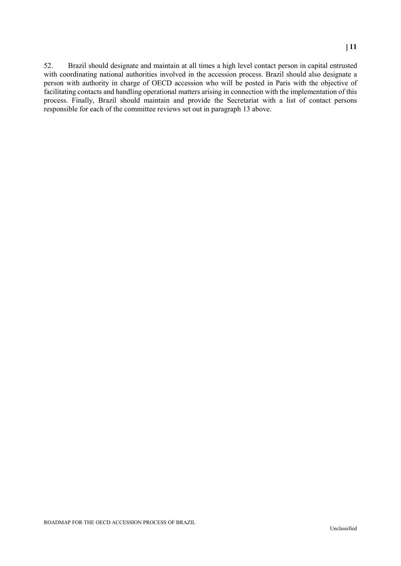52. Brazil should designate and maintain at all times a high level contact person in capital entrusted with coordinating national authorities involved in the accession process. Brazil should also designate a person with authority in charge of OECD accession who will be posted in Paris with the objective of facilitating contacts and handling operational matters arising in connection with the implementation of this process. Finally, Brazil should maintain and provide the Secretariat with a list of contact persons responsible for each of the committee reviews set out in paragraph 13 above.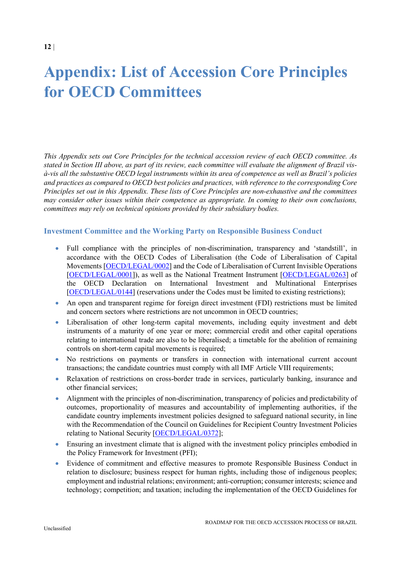# **Appendix: List of Accession Core Principles for OECD Committees**

*This Appendix sets out Core Principles for the technical accession review of each OECD committee. As stated in Section III above, as part of its review, each committee will evaluate the alignment of Brazil visà-vis all the substantive OECD legal instruments within its area of competence as well as Brazil's policies and practices as compared to OECD best policies and practices, with reference to the corresponding Core Principles set out in this Appendix. These lists of Core Principles are non-exhaustive and the committees may consider other issues within their competence as appropriate. In coming to their own conclusions, committees may rely on technical opinions provided by their subsidiary bodies.* 

#### **Investment Committee and the Working Party on Responsible Business Conduct**

- Full compliance with the principles of non-discrimination, transparency and 'standstill', in accordance with the OECD Codes of Liberalisation (the Code of Liberalisation of Capital Movements [\[OECD/LEGAL/0002\]](https://legalinstruments.oecd.org/en/instruments/OECD-LEGAL-0002) and the Code of Liberalisation of Current Invisible Operations [\[OECD/LEGAL/0001\]](https://legalinstruments.oecd.org/en/instruments/OECD-LEGAL-0001)), as well as the National Treatment Instrument [\[OECD/LEGAL/0263\]](https://legalinstruments.oecd.org/en/instruments/OECD-LEGAL-0263) of the OECD Declaration on International Investment and Multinational Enterprises [\[OECD/LEGAL/0144\]](https://legalinstruments.oecd.org/en/instruments/OECD-LEGAL-0144) (reservations under the Codes must be limited to existing restrictions);
- An open and transparent regime for foreign direct investment (FDI) restrictions must be limited and concern sectors where restrictions are not uncommon in OECD countries;
- Liberalisation of other long-term capital movements, including equity investment and debt instruments of a maturity of one year or more; commercial credit and other capital operations relating to international trade are also to be liberalised; a timetable for the abolition of remaining controls on short-term capital movements is required;
- No restrictions on payments or transfers in connection with international current account transactions; the candidate countries must comply with all IMF Article VIII requirements;
- Relaxation of restrictions on cross-border trade in services, particularly banking, insurance and other financial services;
- Alignment with the principles of non-discrimination, transparency of policies and predictability of outcomes, proportionality of measures and accountability of implementing authorities, if the candidate country implements investment policies designed to safeguard national security, in line with the Recommendation of the Council on Guidelines for Recipient Country Investment Policies relating to National Security [\[OECD/LEGAL/0372\]](https://legalinstruments.oecd.org/en/instruments/OECD-LEGAL-0372);
- Ensuring an investment climate that is aligned with the investment policy principles embodied in the Policy Framework for Investment (PFI);
- Evidence of commitment and effective measures to promote Responsible Business Conduct in relation to disclosure; business respect for human rights, including those of indigenous peoples; employment and industrial relations; environment; anti-corruption; consumer interests; science and technology; competition; and taxation; including the implementation of the OECD Guidelines for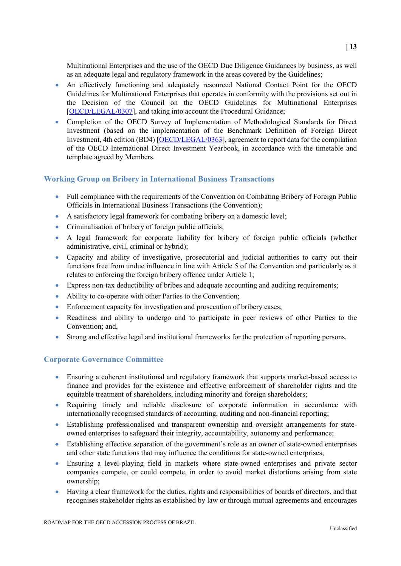Multinational Enterprises and the use of the OECD Due Diligence Guidances by business, as well as an adequate legal and regulatory framework in the areas covered by the Guidelines;

- An effectively functioning and adequately resourced National Contact Point for the OECD Guidelines for Multinational Enterprises that operates in conformity with the provisions set out in the Decision of the Council on the OECD Guidelines for Multinational Enterprises [\[OECD/LEGAL/0307\]](https://legalinstruments.oecd.org/en/instruments/OECD-LEGAL-0307), and taking into account the Procedural Guidance;
- Completion of the OECD Survey of Implementation of Methodological Standards for Direct Investment (based on the implementation of the Benchmark Definition of Foreign Direct Investment, 4th edition (BD4) [\[OECD/LEGAL/0363\]](https://legalinstruments.oecd.org/en/instruments/OECD-LEGAL-0363), agreement to report data for the compilation of the OECD International Direct Investment Yearbook, in accordance with the timetable and template agreed by Members.

# **Working Group on Bribery in International Business Transactions**

- Full compliance with the requirements of the Convention on Combating Bribery of Foreign Public Officials in International Business Transactions (the Convention);
- A satisfactory legal framework for combating bribery on a domestic level;
- Criminalisation of bribery of foreign public officials;
- A legal framework for corporate liability for bribery of foreign public officials (whether administrative, civil, criminal or hybrid);
- Capacity and ability of investigative, prosecutorial and judicial authorities to carry out their functions free from undue influence in line with Article 5 of the Convention and particularly as it relates to enforcing the foreign bribery offence under Article 1;
- Express non-tax deductibility of bribes and adequate accounting and auditing requirements;
- Ability to co-operate with other Parties to the Convention;
- Enforcement capacity for investigation and prosecution of bribery cases;
- Readiness and ability to undergo and to participate in peer reviews of other Parties to the Convention; and,
- Strong and effective legal and institutional frameworks for the protection of reporting persons.

# **Corporate Governance Committee**

- Ensuring a coherent institutional and regulatory framework that supports market-based access to finance and provides for the existence and effective enforcement of shareholder rights and the equitable treatment of shareholders, including minority and foreign shareholders;
- Requiring timely and reliable disclosure of corporate information in accordance with internationally recognised standards of accounting, auditing and non-financial reporting;
- Establishing professionalised and transparent ownership and oversight arrangements for stateowned enterprises to safeguard their integrity, accountability, autonomy and performance;
- Establishing effective separation of the government's role as an owner of state-owned enterprises and other state functions that may influence the conditions for state-owned enterprises;
- Ensuring a level-playing field in markets where state-owned enterprises and private sector companies compete, or could compete, in order to avoid market distortions arising from state ownership;
- Having a clear framework for the duties, rights and responsibilities of boards of directors, and that recognises stakeholder rights as established by law or through mutual agreements and encourages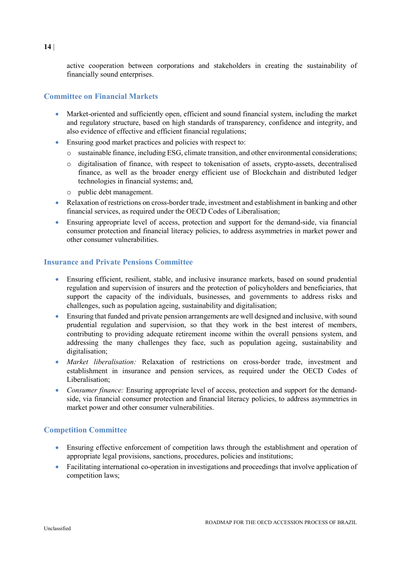active cooperation between corporations and stakeholders in creating the sustainability of financially sound enterprises.

# **Committee on Financial Markets**

- Market-oriented and sufficiently open, efficient and sound financial system, including the market and regulatory structure, based on high standards of transparency, confidence and integrity, and also evidence of effective and efficient financial regulations;
- Ensuring good market practices and policies with respect to:
	- o sustainable finance, including ESG, climate transition, and other environmental considerations;
	- o digitalisation of finance, with respect to tokenisation of assets, crypto-assets, decentralised finance, as well as the broader energy efficient use of Blockchain and distributed ledger technologies in financial systems; and,
	- o public debt management.
- Relaxation of restrictions on cross-border trade, investment and establishment in banking and other financial services, as required under the OECD Codes of Liberalisation;
- Ensuring appropriate level of access, protection and support for the demand-side, via financial consumer protection and financial literacy policies, to address asymmetries in market power and other consumer vulnerabilities.

# **Insurance and Private Pensions Committee**

- Ensuring efficient, resilient, stable, and inclusive insurance markets, based on sound prudential regulation and supervision of insurers and the protection of policyholders and beneficiaries, that support the capacity of the individuals, businesses, and governments to address risks and challenges, such as population ageing, sustainability and digitalisation;
- Ensuring that funded and private pension arrangements are well designed and inclusive, with sound prudential regulation and supervision, so that they work in the best interest of members, contributing to providing adequate retirement income within the overall pensions system, and addressing the many challenges they face, such as population ageing, sustainability and digitalisation;
- *Market liberalisation:* Relaxation of restrictions on cross-border trade, investment and establishment in insurance and pension services, as required under the OECD Codes of Liberalisation;
- *Consumer finance:* Ensuring appropriate level of access, protection and support for the demandside, via financial consumer protection and financial literacy policies, to address asymmetries in market power and other consumer vulnerabilities.

# **Competition Committee**

- Ensuring effective enforcement of competition laws through the establishment and operation of appropriate legal provisions, sanctions, procedures, policies and institutions;
- Facilitating international co-operation in investigations and proceedings that involve application of competition laws;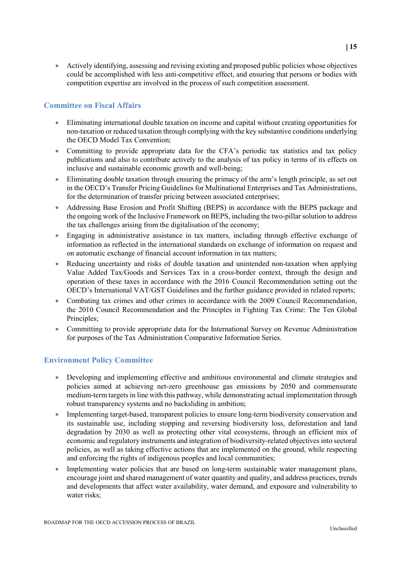• Actively identifying, assessing and revising existing and proposed public policies whose objectives could be accomplished with less anti-competitive effect, and ensuring that persons or bodies with competition expertise are involved in the process of such competition assessment.

# **Committee on Fiscal Affairs**

- Eliminating international double taxation on income and capital without creating opportunities for non-taxation or reduced taxation through complying with the key substantive conditions underlying the OECD Model Tax Convention;
- Committing to provide appropriate data for the CFA's periodic tax statistics and tax policy publications and also to contribute actively to the analysis of tax policy in terms of its effects on inclusive and sustainable economic growth and well-being;
- Eliminating double taxation through ensuring the primacy of the arm's length principle, as set out in the OECD's Transfer Pricing Guidelines for Multinational Enterprises and Tax Administrations, for the determination of transfer pricing between associated enterprises;
- Addressing Base Erosion and Profit Shifting (BEPS) in accordance with the BEPS package and the ongoing work of the Inclusive Framework on BEPS, including the two-pillar solution to address the tax challenges arising from the digitalisation of the economy;
- Engaging in administrative assistance in tax matters, including through effective exchange of information as reflected in the international standards on exchange of information on request and on automatic exchange of financial account information in tax matters;
- Reducing uncertainty and risks of double taxation and unintended non-taxation when applying Value Added Tax/Goods and Services Tax in a cross-border context, through the design and operation of these taxes in accordance with the 2016 Council Recommendation setting out the OECD's International VAT/GST Guidelines and the further guidance provided in related reports;
- Combating tax crimes and other crimes in accordance with the 2009 Council Recommendation, the 2010 Council Recommendation and the Principles in Fighting Tax Crime: The Ten Global Principles;
- Committing to provide appropriate data for the International Survey on Revenue Administration for purposes of the Tax Administration Comparative Information Series.

# **Environment Policy Committee**

- Developing and implementing effective and ambitious environmental and climate strategies and policies aimed at achieving net-zero greenhouse gas emissions by 2050 and commensurate medium-term targets in line with this pathway, while demonstrating actual implementation through robust transparency systems and no backsliding in ambition;
- Implementing target-based, transparent policies to ensure long-term biodiversity conservation and its sustainable use, including stopping and reversing biodiversity loss, deforestation and land degradation by 2030 as well as protecting other vital ecosystems, through an efficient mix of economic and regulatory instruments and integration of biodiversity-related objectives into sectoral policies, as well as taking effective actions that are implemented on the ground, while respecting and enforcing the rights of indigenous peoples and local communities;
- Implementing water policies that are based on long-term sustainable water management plans, encourage joint and shared management of water quantity and quality, and address practices, trends and developments that affect water availability, water demand, and exposure and vulnerability to water risks;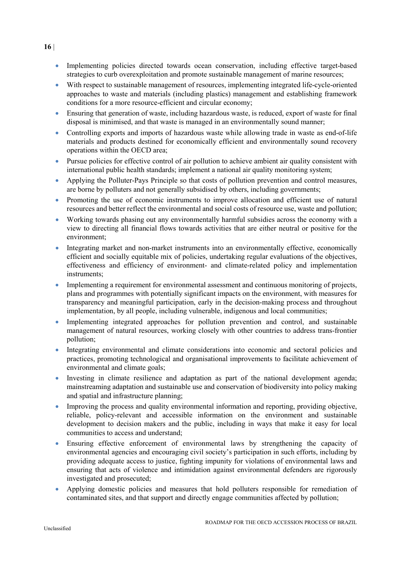- Implementing policies directed towards ocean conservation, including effective target-based strategies to curb overexploitation and promote sustainable management of marine resources;
- With respect to sustainable management of resources, implementing integrated life-cycle-oriented approaches to waste and materials (including plastics) management and establishing framework conditions for a more resource-efficient and circular economy;
- Ensuring that generation of waste, including hazardous waste, is reduced, export of waste for final disposal is minimised, and that waste is managed in an environmentally sound manner;
- Controlling exports and imports of hazardous waste while allowing trade in waste as end-of-life materials and products destined for economically efficient and environmentally sound recovery operations within the OECD area;
- Pursue policies for effective control of air pollution to achieve ambient air quality consistent with international public health standards; implement a national air quality monitoring system;
- Applying the Polluter-Pays Principle so that costs of pollution prevention and control measures, are borne by polluters and not generally subsidised by others, including governments;
- Promoting the use of economic instruments to improve allocation and efficient use of natural resources and better reflect the environmental and social costs of resource use, waste and pollution;
- Working towards phasing out any environmentally harmful subsidies across the economy with a view to directing all financial flows towards activities that are either neutral or positive for the environment;
- Integrating market and non-market instruments into an environmentally effective, economically efficient and socially equitable mix of policies, undertaking regular evaluations of the objectives, effectiveness and efficiency of environment- and climate-related policy and implementation instruments;
- Implementing a requirement for environmental assessment and continuous monitoring of projects, plans and programmes with potentially significant impacts on the environment, with measures for transparency and meaningful participation, early in the decision-making process and throughout implementation, by all people, including vulnerable, indigenous and local communities;
- Implementing integrated approaches for pollution prevention and control, and sustainable management of natural resources, working closely with other countries to address trans-frontier pollution;
- Integrating environmental and climate considerations into economic and sectoral policies and practices, promoting technological and organisational improvements to facilitate achievement of environmental and climate goals;
- Investing in climate resilience and adaptation as part of the national development agenda; mainstreaming adaptation and sustainable use and conservation of biodiversity into policy making and spatial and infrastructure planning;
- Improving the process and quality environmental information and reporting, providing objective, reliable, policy-relevant and accessible information on the environment and sustainable development to decision makers and the public, including in ways that make it easy for local communities to access and understand;
- Ensuring effective enforcement of environmental laws by strengthening the capacity of environmental agencies and encouraging civil society's participation in such efforts, including by providing adequate access to justice, fighting impunity for violations of environmental laws and ensuring that acts of violence and intimidation against environmental defenders are rigorously investigated and prosecuted;
- Applying domestic policies and measures that hold polluters responsible for remediation of contaminated sites, and that support and directly engage communities affected by pollution;

**16** |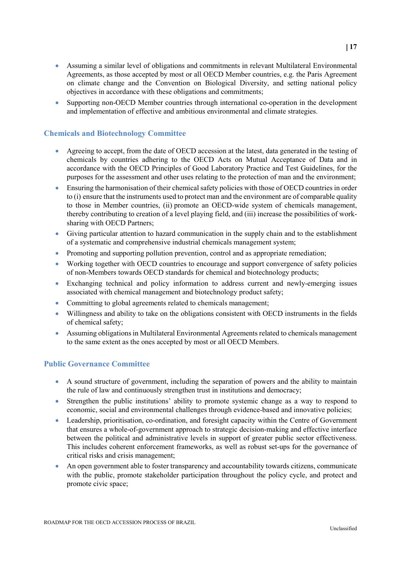- Assuming a similar level of obligations and commitments in relevant Multilateral Environmental Agreements, as those accepted by most or all OECD Member countries, e.g. the Paris Agreement on climate change and the Convention on Biological Diversity, and setting national policy
- Supporting non-OECD Member countries through international co-operation in the development and implementation of effective and ambitious environmental and climate strategies.

objectives in accordance with these obligations and commitments;

# **Chemicals and Biotechnology Committee**

- Agreeing to accept, from the date of OECD accession at the latest, data generated in the testing of chemicals by countries adhering to the OECD Acts on Mutual Acceptance of Data and in accordance with the OECD Principles of Good Laboratory Practice and Test Guidelines, for the purposes for the assessment and other uses relating to the protection of man and the environment;
- Ensuring the harmonisation of their chemical safety policies with those of OECD countries in order to (i) ensure that the instruments used to protect man and the environment are of comparable quality to those in Member countries, (ii) promote an OECD-wide system of chemicals management, thereby contributing to creation of a level playing field, and (iii) increase the possibilities of worksharing with OECD Partners;
- Giving particular attention to hazard communication in the supply chain and to the establishment of a systematic and comprehensive industrial chemicals management system;
- Promoting and supporting pollution prevention, control and as appropriate remediation;
- Working together with OECD countries to encourage and support convergence of safety policies of non-Members towards OECD standards for chemical and biotechnology products;
- Exchanging technical and policy information to address current and newly-emerging issues associated with chemical management and biotechnology product safety;
- Committing to global agreements related to chemicals management;
- Willingness and ability to take on the obligations consistent with OECD instruments in the fields of chemical safety;
- Assuming obligations in Multilateral Environmental Agreements related to chemicals management to the same extent as the ones accepted by most or all OECD Members.

# **Public Governance Committee**

- A sound structure of government, including the separation of powers and the ability to maintain the rule of law and continuously strengthen trust in institutions and democracy;
- Strengthen the public institutions' ability to promote systemic change as a way to respond to economic, social and environmental challenges through evidence-based and innovative policies;
- Leadership, prioritisation, co-ordination, and foresight capacity within the Centre of Government that ensures a whole-of-government approach to strategic decision-making and effective interface between the political and administrative levels in support of greater public sector effectiveness. This includes coherent enforcement frameworks, as well as robust set-ups for the governance of critical risks and crisis management;
- An open government able to foster transparency and accountability towards citizens, communicate with the public, promote stakeholder participation throughout the policy cycle, and protect and promote civic space;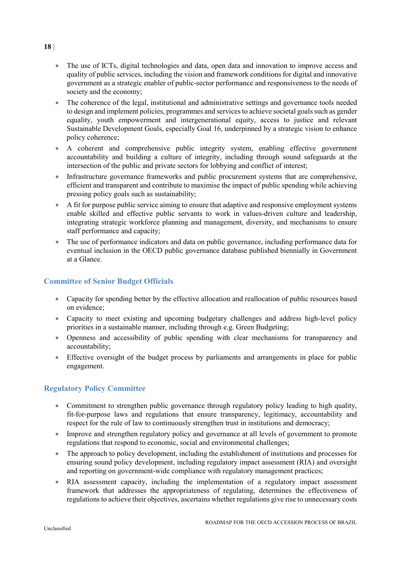- The use of ICTs, digital technologies and data, open data and innovation to improve access and quality of public services, including the vision and framework conditions for digital and innovative government as a strategic enabler of public-sector performance and responsiveness to the needs of society and the economy;
- The coherence of the legal, institutional and administrative settings and governance tools needed to design and implement policies, programmes and services to achieve societal goals such as gender equality, youth empowerment and intergenerational equity, access to justice and relevant Sustainable Development Goals, especially Goal 16, underpinned by a strategic vision to enhance policy coherence;
- A coherent and comprehensive public integrity system, enabling effective government accountability and building a culture of integrity, including through sound safeguards at the intersection of the public and private sectors for lobbying and conflict of interest;
- Infrastructure governance frameworks and public procurement systems that are comprehensive, efficient and transparent and contribute to maximise the impact of public spending while achieving pressing policy goals such as sustainability;
- A fit for purpose public service aiming to ensure that adaptive and responsive employment systems enable skilled and effective public servants to work in values-driven culture and leadership, integrating strategic workforce planning and management, diversity, and mechanisms to ensure staff performance and capacity;
- The use of performance indicators and data on public governance, including performance data for eventual inclusion in the OECD public governance database published biennially in Government at a Glance.

# **Committee of Senior Budget Officials**

- Capacity for spending better by the effective allocation and reallocation of public resources based on evidence;
- Capacity to meet existing and upcoming budgetary challenges and address high-level policy priorities in a sustainable manner, including through e.g. Green Budgeting;
- Openness and accessibility of public spending with clear mechanisms for transparency and accountability;
- Effective oversight of the budget process by parliaments and arrangements in place for public engagement.

# **Regulatory Policy Committee**

- Commitment to strengthen public governance through regulatory policy leading to high quality, fit-for-purpose laws and regulations that ensure transparency, legitimacy, accountability and respect for the rule of law to continuously strengthen trust in institutions and democracy;
- Improve and strengthen regulatory policy and governance at all levels of government to promote regulations that respond to economic, social and environmental challenges;
- The approach to policy development, including the establishment of institutions and processes for ensuring sound policy development, including regulatory impact assessment (RIA) and oversight and reporting on government-wide compliance with regulatory management practices;
- RIA assessment capacity, including the implementation of a regulatory impact assessment framework that addresses the appropriateness of regulating, determines the effectiveness of regulations to achieve their objectives, ascertains whether regulations give rise to unnecessary costs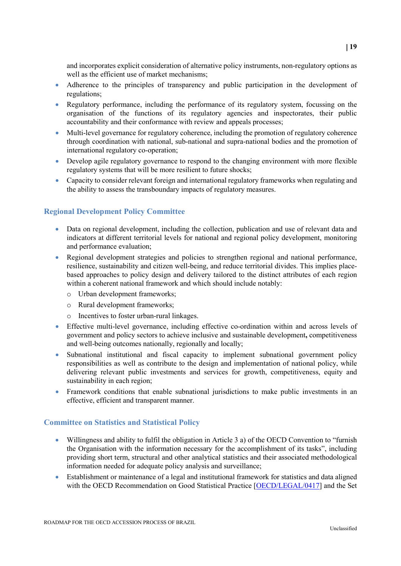and incorporates explicit consideration of alternative policy instruments, non-regulatory options as well as the efficient use of market mechanisms;

- Adherence to the principles of transparency and public participation in the development of regulations;
- Regulatory performance, including the performance of its regulatory system, focussing on the organisation of the functions of its regulatory agencies and inspectorates, their public accountability and their conformance with review and appeals processes;
- Multi-level governance for regulatory coherence, including the promotion of regulatory coherence through coordination with national, sub-national and supra-national bodies and the promotion of international regulatory co-operation;
- Develop agile regulatory governance to respond to the changing environment with more flexible regulatory systems that will be more resilient to future shocks;
- Capacity to consider relevant foreign and international regulatory frameworks when regulating and the ability to assess the transboundary impacts of regulatory measures.

# **Regional Development Policy Committee**

- Data on regional development, including the collection, publication and use of relevant data and indicators at different territorial levels for national and regional policy development, monitoring and performance evaluation;
- Regional development strategies and policies to strengthen regional and national performance, resilience, sustainability and citizen well-being, and reduce territorial divides. This implies placebased approaches to policy design and delivery tailored to the distinct attributes of each region within a coherent national framework and which should include notably:
	- o Urban development frameworks;
	- o Rural development frameworks;
	- o Incentives to foster urban-rural linkages.
- Effective multi-level governance, including effective co-ordination within and across levels of government and policy sectors to achieve inclusive and sustainable development**,** competitiveness and well-being outcomes nationally, regionally and locally;
- Subnational institutional and fiscal capacity to implement subnational government policy responsibilities as well as contribute to the design and implementation of national policy, while delivering relevant public investments and services for growth, competitiveness, equity and sustainability in each region;
- Framework conditions that enable subnational jurisdictions to make public investments in an effective, efficient and transparent manner.

#### **Committee on Statistics and Statistical Policy**

- Willingness and ability to fulfil the obligation in Article 3 a) of the OECD Convention to "furnish" the Organisation with the information necessary for the accomplishment of its tasks", including providing short term, structural and other analytical statistics and their associated methodological information needed for adequate policy analysis and surveillance;
- Establishment or maintenance of a legal and institutional framework for statistics and data aligned with the OECD Recommendation on Good Statistical Practice [\[OECD/LEGAL/0417\]](https://legalinstruments.oecd.org/en/instruments/OECD-LEGAL-0417) and the Set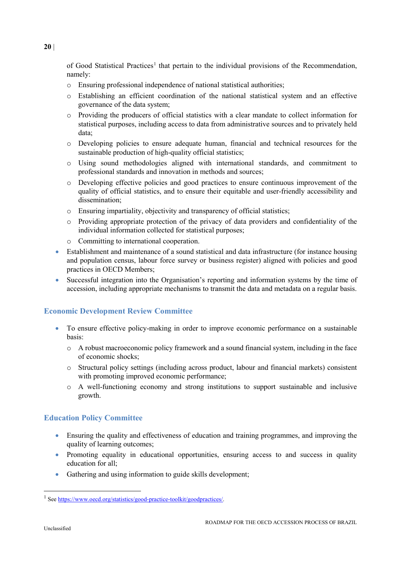of Good Statistical Practices<sup>[1](#page-19-0)</sup> that pertain to the individual provisions of the Recommendation, namely:

- o Ensuring professional independence of national statistical authorities;
- o Establishing an efficient coordination of the national statistical system and an effective governance of the data system;
- o Providing the producers of official statistics with a clear mandate to collect information for statistical purposes, including access to data from administrative sources and to privately held data;
- o Developing policies to ensure adequate human, financial and technical resources for the sustainable production of high-quality official statistics;
- o Using sound methodologies aligned with international standards, and commitment to professional standards and innovation in methods and sources;
- o Developing effective policies and good practices to ensure continuous improvement of the quality of official statistics, and to ensure their equitable and user-friendly accessibility and dissemination;
- o Ensuring impartiality, objectivity and transparency of official statistics;
- o Providing appropriate protection of the privacy of data providers and confidentiality of the individual information collected for statistical purposes;
- o Committing to international cooperation.
- Establishment and maintenance of a sound statistical and data infrastructure (for instance housing and population census, labour force survey or business register) aligned with policies and good practices in OECD Members;
- Successful integration into the Organisation's reporting and information systems by the time of accession, including appropriate mechanisms to transmit the data and metadata on a regular basis.

# **Economic Development Review Committee**

- To ensure effective policy-making in order to improve economic performance on a sustainable basis:
	- o A robust macroeconomic policy framework and a sound financial system, including in the face of economic shocks;
	- o Structural policy settings (including across product, labour and financial markets) consistent with promoting improved economic performance;
	- o A well-functioning economy and strong institutions to support sustainable and inclusive growth.

#### **Education Policy Committee**

- Ensuring the quality and effectiveness of education and training programmes, and improving the quality of learning outcomes;
- Promoting equality in educational opportunities, ensuring access to and success in quality education for all;
- Gathering and using information to guide skills development;

<span id="page-19-0"></span><sup>&</sup>lt;sup>1</sup> See [https://www.oecd.org/statistics/good-practice-toolkit/goodpractices/.](https://www.oecd.org/statistics/good-practice-toolkit/goodpractices/)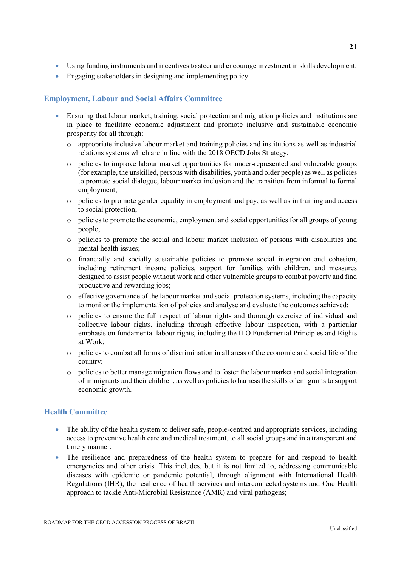- Using funding instruments and incentives to steer and encourage investment in skills development;
- Engaging stakeholders in designing and implementing policy.

# **Employment, Labour and Social Affairs Committee**

- Ensuring that labour market, training, social protection and migration policies and institutions are in place to facilitate economic adjustment and promote inclusive and sustainable economic prosperity for all through:
	- o appropriate inclusive labour market and training policies and institutions as well as industrial relations systems which are in line with the 2018 OECD Jobs Strategy;
	- o policies to improve labour market opportunities for under-represented and vulnerable groups (for example, the unskilled, persons with disabilities, youth and older people) as well as policies to promote social dialogue, labour market inclusion and the transition from informal to formal employment;
	- o policies to promote gender equality in employment and pay, as well as in training and access to social protection;
	- o policies to promote the economic, employment and social opportunities for all groups of young people;
	- o policies to promote the social and labour market inclusion of persons with disabilities and mental health issues;
	- o financially and socially sustainable policies to promote social integration and cohesion, including retirement income policies, support for families with children, and measures designed to assist people without work and other vulnerable groups to combat poverty and find productive and rewarding jobs;
	- o effective governance of the labour market and social protection systems, including the capacity to monitor the implementation of policies and analyse and evaluate the outcomes achieved;
	- o policies to ensure the full respect of labour rights and thorough exercise of individual and collective labour rights, including through effective labour inspection, with a particular emphasis on fundamental labour rights, including the ILO Fundamental Principles and Rights at Work;
	- o policies to combat all forms of discrimination in all areas of the economic and social life of the country;
	- o policies to better manage migration flows and to foster the labour market and social integration of immigrants and their children, as well as policies to harness the skills of emigrants to support economic growth.

# **Health Committee**

- The ability of the health system to deliver safe, people-centred and appropriate services, including access to preventive health care and medical treatment, to all social groups and in a transparent and timely manner;
- The resilience and preparedness of the health system to prepare for and respond to health emergencies and other crisis. This includes, but it is not limited to, addressing communicable diseases with epidemic or pandemic potential, through alignment with International Health Regulations (IHR), the resilience of health services and interconnected systems and One Health approach to tackle Anti-Microbial Resistance (AMR) and viral pathogens;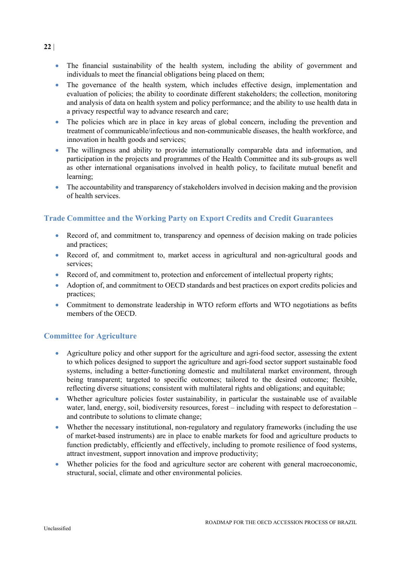- The financial sustainability of the health system, including the ability of government and individuals to meet the financial obligations being placed on them;
- The governance of the health system, which includes effective design, implementation and evaluation of policies; the ability to coordinate different stakeholders; the collection, monitoring and analysis of data on health system and policy performance; and the ability to use health data in a privacy respectful way to advance research and care;
- The policies which are in place in key areas of global concern, including the prevention and treatment of communicable/infectious and non-communicable diseases, the health workforce, and innovation in health goods and services;
- The willingness and ability to provide internationally comparable data and information, and participation in the projects and programmes of the Health Committee and its sub-groups as well as other international organisations involved in health policy, to facilitate mutual benefit and learning;
- The accountability and transparency of stakeholders involved in decision making and the provision of health services.

# **Trade Committee and the Working Party on Export Credits and Credit Guarantees**

- Record of, and commitment to, transparency and openness of decision making on trade policies and practices;
- Record of, and commitment to, market access in agricultural and non-agricultural goods and services;
- Record of, and commitment to, protection and enforcement of intellectual property rights;
- Adoption of, and commitment to OECD standards and best practices on export credits policies and practices;
- Commitment to demonstrate leadership in WTO reform efforts and WTO negotiations as befits members of the OECD.

# **Committee for Agriculture**

- Agriculture policy and other support for the agriculture and agri-food sector, assessing the extent to which polices designed to support the agriculture and agri-food sector support sustainable food systems, including a better-functioning domestic and multilateral market environment, through being transparent; targeted to specific outcomes; tailored to the desired outcome; flexible, reflecting diverse situations; consistent with multilateral rights and obligations; and equitable;
- Whether agriculture policies foster sustainability, in particular the sustainable use of available water, land, energy, soil, biodiversity resources, forest – including with respect to deforestation – and contribute to solutions to climate change;
- Whether the necessary institutional, non-regulatory and regulatory frameworks (including the use of market-based instruments) are in place to enable markets for food and agriculture products to function predictably, efficiently and effectively, including to promote resilience of food systems, attract investment, support innovation and improve productivity;
- Whether policies for the food and agriculture sector are coherent with general macroeconomic, structural, social, climate and other environmental policies.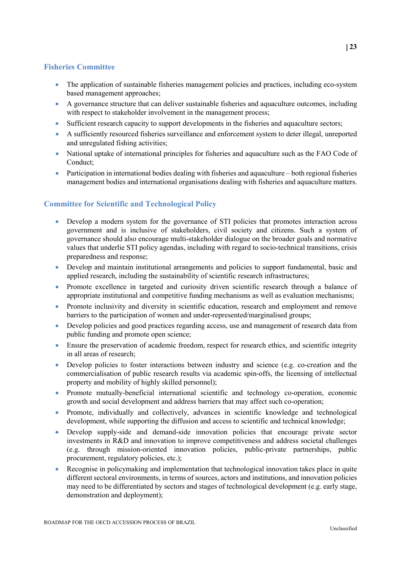# **Fisheries Committee**

- The application of sustainable fisheries management policies and practices, including eco-system based management approaches;
- A governance structure that can deliver sustainable fisheries and aquaculture outcomes, including with respect to stakeholder involvement in the management process:
- Sufficient research capacity to support developments in the fisheries and aquaculture sectors;
- A sufficiently resourced fisheries surveillance and enforcement system to deter illegal, unreported and unregulated fishing activities;
- National uptake of international principles for fisheries and aquaculture such as the FAO Code of Conduct;
- Participation in international bodies dealing with fisheries and aquaculture both regional fisheries management bodies and international organisations dealing with fisheries and aquaculture matters.

# **Committee for Scientific and Technological Policy**

- Develop a modern system for the governance of STI policies that promotes interaction across government and is inclusive of stakeholders, civil society and citizens. Such a system of governance should also encourage multi-stakeholder dialogue on the broader goals and normative values that underlie STI policy agendas, including with regard to socio-technical transitions, crisis preparedness and response;
- Develop and maintain institutional arrangements and policies to support fundamental, basic and applied research, including the sustainability of scientific research infrastructures;
- Promote excellence in targeted and curiosity driven scientific research through a balance of appropriate institutional and competitive funding mechanisms as well as evaluation mechanisms;
- Promote inclusivity and diversity in scientific education, research and employment and remove barriers to the participation of women and under-represented/marginalised groups;
- Develop policies and good practices regarding access, use and management of research data from public funding and promote open science;
- Ensure the preservation of academic freedom, respect for research ethics, and scientific integrity in all areas of research;
- Develop policies to foster interactions between industry and science (e.g. co-creation and the commercialisation of public research results via academic spin-offs, the licensing of intellectual property and mobility of highly skilled personnel);
- Promote mutually-beneficial international scientific and technology co-operation, economic growth and social development and address barriers that may affect such co-operation;
- Promote, individually and collectively, advances in scientific knowledge and technological development, while supporting the diffusion and access to scientific and technical knowledge;
- Develop supply-side and demand-side innovation policies that encourage private sector investments in R&D and innovation to improve competitiveness and address societal challenges (e.g. through mission-oriented innovation policies, public-private partnerships, public procurement, regulatory policies, etc.);
- Recognise in policymaking and implementation that technological innovation takes place in quite different sectoral environments, in terms of sources, actors and institutions, and innovation policies may need to be differentiated by sectors and stages of technological development (e.g. early stage, demonstration and deployment);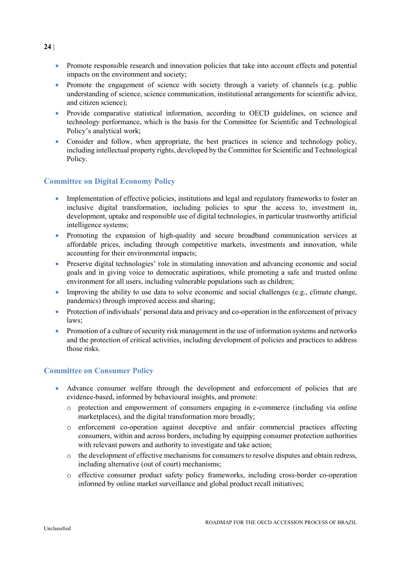- Promote responsible research and innovation policies that take into account effects and potential impacts on the environment and society;
- Promote the engagement of science with society through a variety of channels (e.g. public understanding of science, science communication, institutional arrangements for scientific advice, and citizen science);
- Provide comparative statistical information, according to OECD guidelines, on science and technology performance, which is the basis for the Committee for Scientific and Technological Policy's analytical work;
- Consider and follow, when appropriate, the best practices in science and technology policy, including intellectual property rights, developed by the Committee for Scientific and Technological Policy.

# **Committee on Digital Economy Policy**

- Implementation of effective policies, institutions and legal and regulatory frameworks to foster an inclusive digital transformation, including policies to spur the access to, investment in, development, uptake and responsible use of digital technologies, in particular trustworthy artificial intelligence systems;
- Promoting the expansion of high-quality and secure broadband communication services at affordable prices, including through competitive markets, investments and innovation, while accounting for their environmental impacts;
- Preserve digital technologies' role in stimulating innovation and advancing economic and social goals and in giving voice to democratic aspirations, while promoting a safe and trusted online environment for all users, including vulnerable populations such as children;
- Improving the ability to use data to solve economic and social challenges (e.g., climate change, pandemics) through improved access and sharing;
- Protection of individuals' personal data and privacy and co-operation in the enforcement of privacy laws;
- Promotion of a culture of security risk management in the use of information systems and networks and the protection of critical activities, including development of policies and practices to address those risks.

# **Committee on Consumer Policy**

- Advance consumer welfare through the development and enforcement of policies that are evidence-based, informed by behavioural insights, and promote:
	- o protection and empowerment of consumers engaging in e-commerce (including via online marketplaces), and the digital transformation more broadly;
	- o enforcement co-operation against deceptive and unfair commercial practices affecting consumers, within and across borders, including by equipping consumer protection authorities with relevant powers and authority to investigate and take action;
	- o the development of effective mechanisms for consumers to resolve disputes and obtain redress, including alternative (out of court) mechanisms;
	- o effective consumer product safety policy frameworks, including cross-border co-operation informed by online market surveillance and global product recall initiatives;